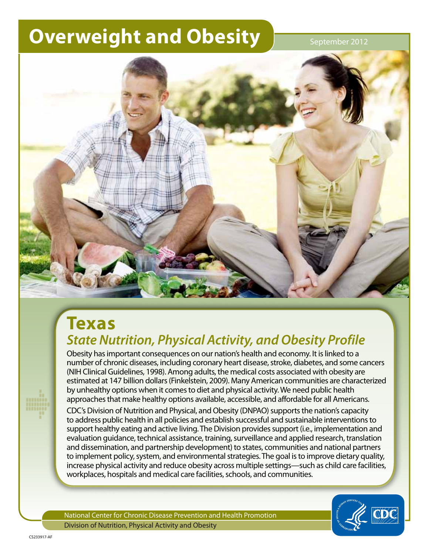# **Overweight and Obesity September 2012**



## **Texas**  *State Nutrition, Physical Activity, and Obesity Profile*

Obesity has important consequences on our nation's health and economy. It is linked to a number of chronic diseases, including coronary heart disease, stroke, diabetes, and some cancers (NIH Clinical Guidelines, 1998). Among adults, the medical costs associated with obesity are estimated at 147 billion dollars (Finkelstein, 2009). Many American communities are characterized by unhealthy options when it comes to diet and physical activity. We need public health approaches that make healthy options available, accessible, and affordable for all Americans.

CDC's Division of Nutrition and Physical, and Obesity (DNPAO) supports the nation's capacity to address public health in all policies and establish successful and sustainable interventions to support healthy eating and active living. The Division provides support (i.e., implementation and evaluation guidance, technical assistance, training, surveillance and applied research, translation and dissemination, and partnership development) to states, communities and national partners to implement policy, system, and environmental strategies. The goal is to improve dietary quality, increase physical activity and reduce obesity across multiple settings—such as child care facilities, workplaces, hospitals and medical care facilities, schools, and communities.

National Center for Chronic Disease Prevention and Health Promotion Division of Nutrition, Physical Activity and Obesity

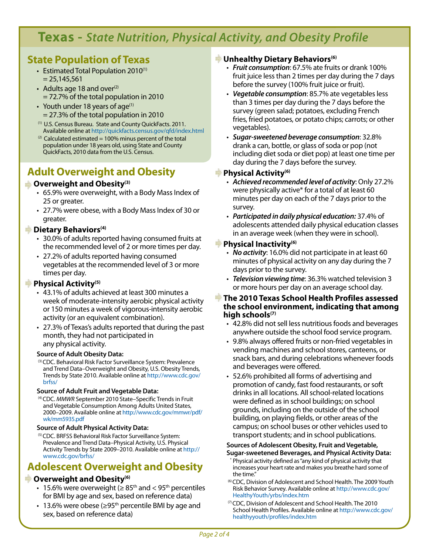## **Texas -** *State Nutrition, Physical Activity, and Obesity Profile*

## **State Population of Texas**

- Estimated Total Population  $2010^{(1)}$  $= 25.145.561$
- Adults age 18 and over $(2)$ = 72.7% of the total population in 2010
- Youth under 18 years of age $(1)$ = 27.3% of the total population in 2010
- (1) U.S. Census Bureau. State and County QuickFacts. 2011. Available online at <http://quickfacts.census.gov/qfd/index.html>
- $(2)$  Calculated estimated = 100% minus percent of the total population under 18 years old, using State and County QuickFacts, 2010 data from the U.S. Census.

## **Adult Overweight and Obesity**

#### **Overweight and Obesity(3)**

- • 65.9% were overweight, with a Body Mass Index of 25 or greater.
- • 27.7% were obese, with a Body Mass Index of 30 or greater.

#### **EXP** Dietary Behaviors<sup>(4)</sup>

- 30.0% of adults reported having consumed fruits at the recommended level of 2 or more times per day.
- 27.2% of adults reported having consumed vegetables at the recommended level of 3 or more times per day.

#### **Physical Activity**<sup>(5)</sup>

- • 43.1% of adults achieved at least 300 minutes a week of moderate-intensity aerobic physical activity or 150 minutes a week of vigorous-intensity aerobic activity (or an equivalent combination).
- 27.3% of Texas's adults reported that during the past month, they had not participated in any physical activity.

#### **Source of Adult Obesity Data:**

(3) CDC. Behavioral Risk Factor Surveillance System: Prevalence and Trend Data–Overweight and Obesity, U.S. Obesity Trends, Trends by State 2010. Available online at [http://www.cdc.gov/](http://www.cdc.gov/brfss/) [brfss/](http://www.cdc.gov/brfss/)

#### **Source of Adult Fruit and Vegetable Data:**

(4) CDC. *MMWR* September 2010 State–Specific Trends in Fruit and Vegetable Consumption Among Adults United States, 2000–2009. Available online at [http://www.cdc.gov/mmwr/pdf/](http://www.cdc.gov/mmwr/pdf/wk/mm5935.pdf) [wk/mm5935.pdf](http://www.cdc.gov/mmwr/pdf/wk/mm5935.pdf)

#### **Source of Adult Physical Activity Data:**

(5) CDC. BRFSS Behavioral Risk Factor Surveillance System: Prevalence and Trend Data–Physical Activity, U.S. Physical Activity Trends by State 2009–2010. Available online at [http://](http://www.cdc.gov/brfss/) [www.cdc.gov/brfss/](http://www.cdc.gov/brfss/)

## **Adolescent Overweight and Obesity**

#### *Coverweight and Obesity***<sup>(6)</sup>**

- 15.6% were overweight ( $\geq 85^{\text{th}}$  and  $< 95^{\text{th}}$  percentiles for BMI by age and sex, based on reference data)
- 13.6% were obese ( $\geq$ 95<sup>th</sup> percentile BMI by age and sex, based on reference data)

#### **Unhealthy Dietary Behaviors(6)**

- • *Fruit consumption*: 67.5% ate fruits or drank 100% fruit juice less than 2 times per day during the 7 days before the survey (100% fruit juice or fruit).
- • *Vegetable consumption*: 85.7% ate vegetables less than 3 times per day during the 7 days before the survey (green salad; potatoes, excluding French fries, fried potatoes, or potato chips; carrots; or other vegetables).
- • *Sugar-sweetened beverage consumption*: 32.8% drank a can, bottle, or glass of soda or pop (not including diet soda or diet pop) at least one time per day during the 7 days before the survey.

#### **Physical Activity**<sup>(6)</sup>

- • *Achieved recommended level of activity*: Only 27.2% were physically active\* for a total of at least 60 minutes per day on each of the 7 days prior to the survey.
- • *Participated in daily physical education:* 37.4% of adolescents attended daily physical education classes in an average week (when they were in school).

#### **Physical Inactivity(6)**

- *No activity*: 16.0% did not participate in at least 60 minutes of physical activity on any day during the 7 days prior to the survey.
- • *Television viewing time*: 36.3% watched television 3 or more hours per day on an average school day.
- **The 2010 Texas School Health Profiles assessed the school environment, indicating that among high schools(7)**
	- 42.8% did not sell less nutritious foods and beverages anywhere outside the school food service program.
	- 9.8% always offered fruits or non-fried vegetables in vending machines and school stores, canteens, or snack bars, and during celebrations whenever foods and beverages were offered.
	- • 52.6% prohibited all forms of advertising and promotion of candy, fast food restaurants, or soft drinks in all locations. All school-related locations were defined as in school buildings; on school grounds, including on the outside of the school building, on playing fields, or other areas of the campus; on school buses or other vehicles used to transport students; and in school publications.

#### **Sources of Adolescent Obesity, Fruit and Vegetable,**

- **Sugar-sweetened Beverages, and Physical Activity Data:**  Physical activity defined as "any kind of physical activity that increases your heart rate and makes you breathe hard some of the time."
- (6) CDC, Division of Adolescent and School Health. The 2009 Youth Risk Behavior Survey. Available online at [http://www.cdc.gov/](http://www.cdc.gov/HealthyYouth/yrbs/index.htm) [HealthyYouth/yrbs/index.htm](http://www.cdc.gov/HealthyYouth/yrbs/index.htm)
- (7) CDC, Division of Adolescent and School Health. The 2010 School Health Profiles. Available online at [http://www.cdc.gov/](http://www.cdc.gov/healthyyouth/profiles/index.htm) [healthyyouth/profiles/index.htm](http://www.cdc.gov/healthyyouth/profiles/index.htm)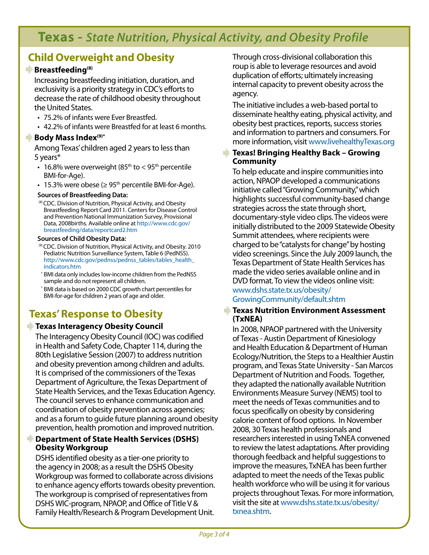## **Texas -** *State Nutrition, Physical Activity, and Obesity Profile*

## **Child Overweight and Obesity**

#### **Breastfeeding<sup>(8)</sup>**

Increasing breastfeeding initiation, duration, and exclusivity is a priority strategy in CDC's efforts to decrease the rate of childhood obesity throughout the United States.

- 75.2% of infants were Ever Breastfed.
- • 42.2% of infants were Breastfed for at least 6 months.

#### **Body Mass Index(9)\***

Among Texas' children aged 2 years to less than 5 years\*

- 16.8% were overweight ( $85<sup>th</sup>$  to < 95<sup>th</sup> percentile BMI-for-Age).
- 15.3% were obese ( $\geq 95^{\text{th}}$  percentile BMI-for-Age).

#### **Sources of Breastfeeding Data:**

(8) CDC. Division of Nutrition, Physical Activity, and Obesity Breastfeeding Report Card 2011. Centers for Disease Control and Prevention National Immunization Survey, Provisional Data, 2008births. Available online at [http://www.cdc.gov/](http://www.cdc.gov/breastfeeding/data/reportcard2.htm) [breastfeeding/data/reportcard2.htm](http://www.cdc.gov/breastfeeding/data/reportcard2.htm)

#### **Sources of Child Obesity Data:**

- (9) CDC. Division of Nutrition, Physical Activity, and Obesity. 2010 Pediatric Nutrition Surveillance System, Table 6 (PedNSS). [http://www.cdc.gov/pednss/pednss\\_tables/tables\\_health\\_](http://www.cdc.gov/pednss/pednss_tables/tables_health_indicators.htm) [indicators.htm](http://www.cdc.gov/pednss/pednss_tables/tables_health_indicators.htm)
- \* BMI data only includes low-income children from the PedNSS sample and do not represent all children.
- BMI data is based on 2000 CDC growth chart percentiles for BMI-for-age for children 2 years of age and older.

## **Texas' Response to Obesity**

#### **Texas Interagency Obesity Council**

The Interagency Obesity Council (IOC) was codified in Health and Safety Code, Chapter 114, during the 80th Legislative Session (2007) to address nutrition and obesity prevention among children and adults. It is comprised of the commissioners of the Texas Department of Agriculture, the Texas Department of State Health Services, and the Texas Education Agency. The council serves to enhance communication and coordination of obesity prevention across agencies; and as a forum to guide future planning around obesity prevention, health promotion and improved nutrition.

#### **Department of State Health Services (DSHS) Obesity Workgroup**

DSHS identified obesity as a tier-one priority to the agency in 2008; as a result the DSHS Obesity Workgroup was formed to collaborate across divisions to enhance agency efforts towards obesity prevention. The workgroup is comprised of representatives from DSHS WIC-program, NPAOP, and Office of Title V & Family Health/Research & Program Development Unit.

Through cross-divisional collaboration this roup is able to leverage resources and avoid duplication of efforts; ultimately increasing internal capacity to prevent obesity across the agency.

The initiative includes a web-based portal to disseminate healthy eating, physical activity, and obesity best practices, reports, success stories and information to partners and consumers. For more information, visit [www.livehealthyTexas.org](www.livehealthygeorgia.org)

#### **Texas! Bringing Healthy Back – Growing Community**

To help educate and inspire communities into action, NPAOP developed a communications initiative called "Growing Community," which highlights successful community-based change strategies across the state through short, documentary-style video clips. The videos were initially distributed to the 2009 Statewide Obesity Summit attendees, where recipients were charged to be "catalysts for change" by hosting video screenings. Since the July 2009 launch, the Texas Department of State Health Services has made the video series available online and in DVD format. To view the videos online visit: [www.dshs.state.tx.us/obesity/](http://www.dshs.state.tx.us/obesity/GrowingCommunity/default.shtm)

[GrowingCommunity/default.shtm](http://www.dshs.state.tx.us/obesity/GrowingCommunity/default.shtm)

#### **Texas Nutrition Environment Assessment (TxNEA)**

In 2008, NPAOP partnered with the University of Texas - Austin Department of Kinesiology and Health Education & Department of Human Ecology/Nutrition, the Steps to a Healthier Austin program, and Texas State University - San Marcos Department of Nutrition and Foods. Together, they adapted the nationally available Nutrition Environments Measure Survey (NEMS) tool to meet the needs of Texas communities and to focus specifically on obesity by considering calorie content of food options. In November 2008, 30 Texas health professionals and researchers interested in using TxNEA convened to review the latest adaptations. After providing thorough feedback and helpful suggestions to improve the measures, TxNEA has been further adapted to meet the needs of the Texas public health workforce who will be using it for various projects throughout Texas. For more information, visit the site at [www.dshs.state.tx.us/obesity/](http://www.dshs.state.tx.us/obesity/txnea.shtm) [txnea.shtm.](http://www.dshs.state.tx.us/obesity/txnea.shtm)